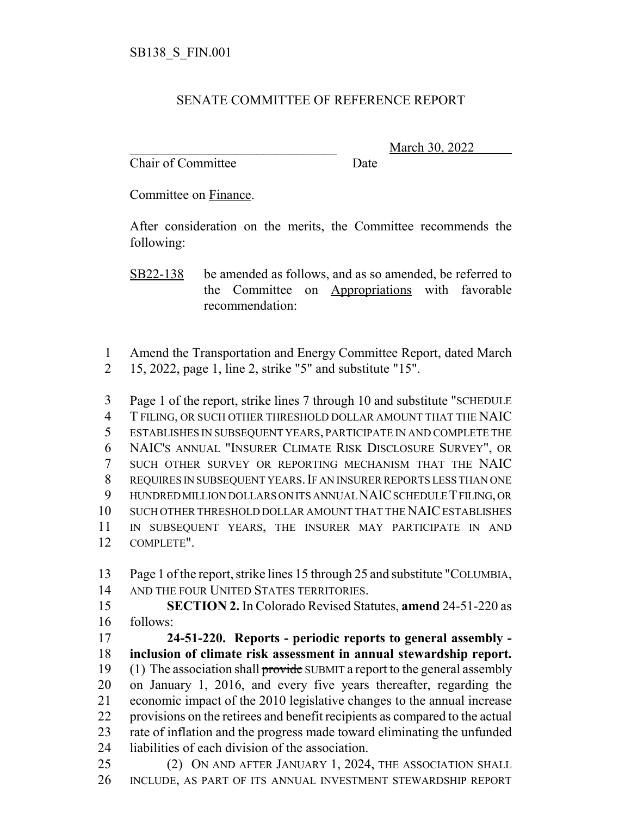## SENATE COMMITTEE OF REFERENCE REPORT

Chair of Committee Date

March 30, 2022

Committee on Finance.

After consideration on the merits, the Committee recommends the following:

SB22-138 be amended as follows, and as so amended, be referred to the Committee on Appropriations with favorable recommendation:

- Amend the Transportation and Energy Committee Report, dated March
- 15, 2022, page 1, line 2, strike "5" and substitute "15".

 Page 1 of the report, strike lines 7 through 10 and substitute "SCHEDULE T FILING, OR SUCH OTHER THRESHOLD DOLLAR AMOUNT THAT THE NAIC ESTABLISHES IN SUBSEQUENT YEARS, PARTICIPATE IN AND COMPLETE THE NAIC'S ANNUAL "INSURER CLIMATE RISK DISCLOSURE SURVEY", OR SUCH OTHER SURVEY OR REPORTING MECHANISM THAT THE NAIC REQUIRES IN SUBSEQUENT YEARS.IF AN INSURER REPORTS LESS THAN ONE HUNDRED MILLION DOLLARS ON ITS ANNUAL NAIC SCHEDULE T FILING, OR SUCH OTHER THRESHOLD DOLLAR AMOUNT THAT THE NAIC ESTABLISHES IN SUBSEQUENT YEARS, THE INSURER MAY PARTICIPATE IN AND COMPLETE".

- Page 1 of the report, strike lines 15 through 25 and substitute "COLUMBIA, 14 AND THE FOUR UNITED STATES TERRITORIES.
- **SECTION 2.** In Colorado Revised Statutes, **amend** 24-51-220 as follows:

 **24-51-220. Reports - periodic reports to general assembly - inclusion of climate risk assessment in annual stewardship report.** 19 (1) The association shall provide SUBMIT a report to the general assembly on January 1, 2016, and every five years thereafter, regarding the economic impact of the 2010 legislative changes to the annual increase provisions on the retirees and benefit recipients as compared to the actual rate of inflation and the progress made toward eliminating the unfunded liabilities of each division of the association.

 (2) ON AND AFTER JANUARY 1, 2024, THE ASSOCIATION SHALL INCLUDE, AS PART OF ITS ANNUAL INVESTMENT STEWARDSHIP REPORT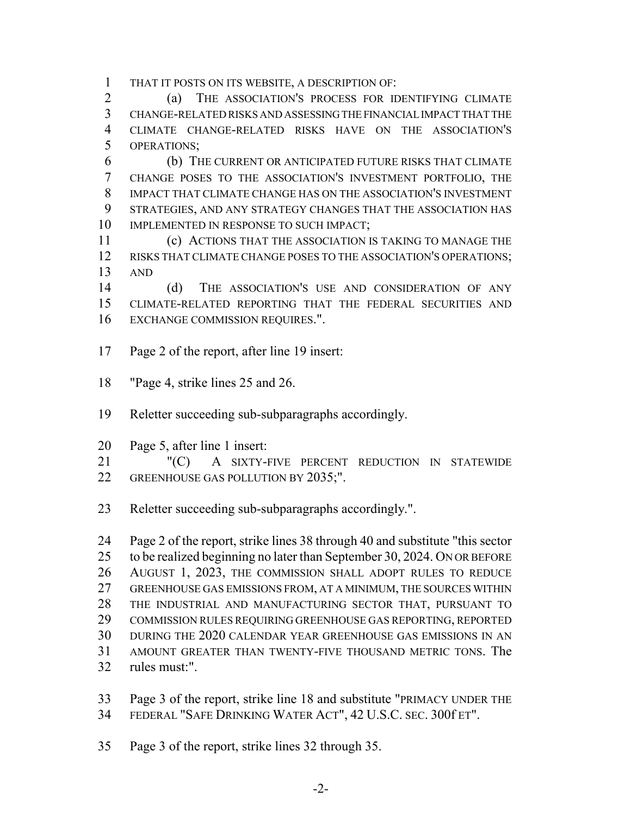THAT IT POSTS ON ITS WEBSITE, A DESCRIPTION OF:

 (a) THE ASSOCIATION'S PROCESS FOR IDENTIFYING CLIMATE CHANGE-RELATED RISKS AND ASSESSING THE FINANCIAL IMPACT THAT THE CLIMATE CHANGE-RELATED RISKS HAVE ON THE ASSOCIATION'S OPERATIONS;

 (b) THE CURRENT OR ANTICIPATED FUTURE RISKS THAT CLIMATE CHANGE POSES TO THE ASSOCIATION'S INVESTMENT PORTFOLIO, THE IMPACT THAT CLIMATE CHANGE HAS ON THE ASSOCIATION'S INVESTMENT STRATEGIES, AND ANY STRATEGY CHANGES THAT THE ASSOCIATION HAS 10 IMPLEMENTED IN RESPONSE TO SUCH IMPACT;

 (c) ACTIONS THAT THE ASSOCIATION IS TAKING TO MANAGE THE RISKS THAT CLIMATE CHANGE POSES TO THE ASSOCIATION'S OPERATIONS; AND

 (d) THE ASSOCIATION'S USE AND CONSIDERATION OF ANY CLIMATE-RELATED REPORTING THAT THE FEDERAL SECURITIES AND EXCHANGE COMMISSION REQUIRES.".

- Page 2 of the report, after line 19 insert:
- "Page 4, strike lines 25 and 26.
- Reletter succeeding sub-subparagraphs accordingly.
- Page 5, after line 1 insert:

 "(C) A SIXTY-FIVE PERCENT REDUCTION IN STATEWIDE 22 GREENHOUSE GAS POLLUTION BY 2035;".

Reletter succeeding sub-subparagraphs accordingly.".

 Page 2 of the report, strike lines 38 through 40 and substitute "this sector to be realized beginning no later than September 30, 2024. ON OR BEFORE AUGUST 1, 2023, THE COMMISSION SHALL ADOPT RULES TO REDUCE GREENHOUSE GAS EMISSIONS FROM, AT A MINIMUM, THE SOURCES WITHIN THE INDUSTRIAL AND MANUFACTURING SECTOR THAT, PURSUANT TO COMMISSION RULES REQUIRING GREENHOUSE GAS REPORTING, REPORTED DURING THE 2020 CALENDAR YEAR GREENHOUSE GAS EMISSIONS IN AN AMOUNT GREATER THAN TWENTY-FIVE THOUSAND METRIC TONS. The rules must:".

 Page 3 of the report, strike line 18 and substitute "PRIMACY UNDER THE FEDERAL "SAFE DRINKING WATER ACT", 42 U.S.C. SEC. 300f ET".

Page 3 of the report, strike lines 32 through 35.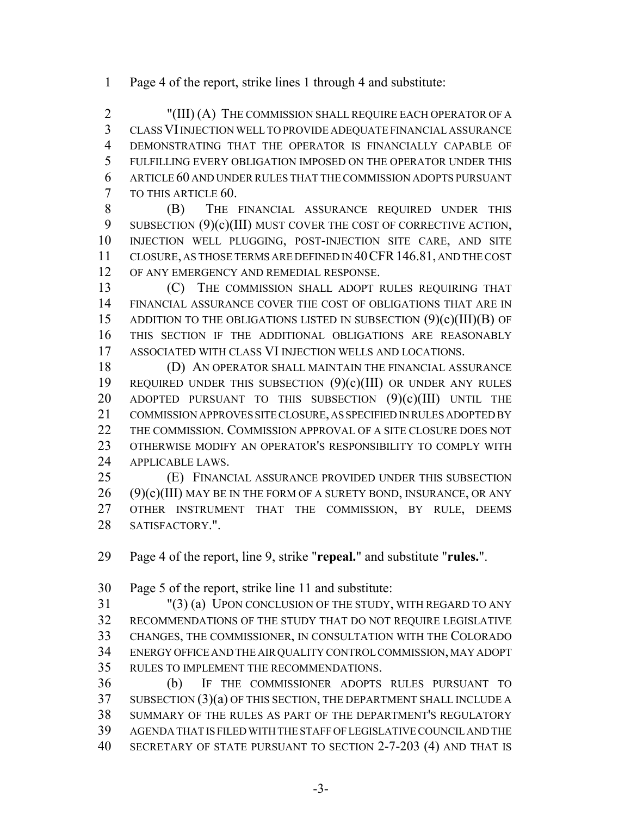Page 4 of the report, strike lines 1 through 4 and substitute:

 "(III) (A) THE COMMISSION SHALL REQUIRE EACH OPERATOR OF A CLASS VI INJECTION WELL TO PROVIDE ADEQUATE FINANCIAL ASSURANCE DEMONSTRATING THAT THE OPERATOR IS FINANCIALLY CAPABLE OF FULFILLING EVERY OBLIGATION IMPOSED ON THE OPERATOR UNDER THIS ARTICLE 60 AND UNDER RULES THAT THE COMMISSION ADOPTS PURSUANT TO THIS ARTICLE 60.

 (B) THE FINANCIAL ASSURANCE REQUIRED UNDER THIS 9 SUBSECTION (9)(c)(III) MUST COVER THE COST OF CORRECTIVE ACTION, INJECTION WELL PLUGGING, POST-INJECTION SITE CARE, AND SITE CLOSURE, AS THOSE TERMS ARE DEFINED IN 40CFR146.81, AND THE COST OF ANY EMERGENCY AND REMEDIAL RESPONSE.

 (C) THE COMMISSION SHALL ADOPT RULES REQUIRING THAT FINANCIAL ASSURANCE COVER THE COST OF OBLIGATIONS THAT ARE IN ADDITION TO THE OBLIGATIONS LISTED IN SUBSECTION (9)(c)(III)(B) OF THIS SECTION IF THE ADDITIONAL OBLIGATIONS ARE REASONABLY ASSOCIATED WITH CLASS VI INJECTION WELLS AND LOCATIONS.

 (D) AN OPERATOR SHALL MAINTAIN THE FINANCIAL ASSURANCE 19 REQUIRED UNDER THIS SUBSECTION  $(9)(c)(III)$  OR UNDER ANY RULES 20 ADOPTED PURSUANT TO THIS SUBSECTION  $(9)(c)(III)$  UNTIL THE COMMISSION APPROVES SITE CLOSURE, AS SPECIFIED IN RULES ADOPTED BY THE COMMISSION. COMMISSION APPROVAL OF A SITE CLOSURE DOES NOT OTHERWISE MODIFY AN OPERATOR'S RESPONSIBILITY TO COMPLY WITH APPLICABLE LAWS.

 (E) FINANCIAL ASSURANCE PROVIDED UNDER THIS SUBSECTION (9)(c)(III) MAY BE IN THE FORM OF A SURETY BOND, INSURANCE, OR ANY OTHER INSTRUMENT THAT THE COMMISSION, BY RULE, DEEMS SATISFACTORY.".

Page 4 of the report, line 9, strike "**repeal.**" and substitute "**rules.**".

Page 5 of the report, strike line 11 and substitute:

 "(3) (a) UPON CONCLUSION OF THE STUDY, WITH REGARD TO ANY RECOMMENDATIONS OF THE STUDY THAT DO NOT REQUIRE LEGISLATIVE CHANGES, THE COMMISSIONER, IN CONSULTATION WITH THE COLORADO ENERGY OFFICE AND THE AIR QUALITY CONTROL COMMISSION, MAY ADOPT RULES TO IMPLEMENT THE RECOMMENDATIONS.

 (b) IF THE COMMISSIONER ADOPTS RULES PURSUANT TO SUBSECTION (3)(a) OF THIS SECTION, THE DEPARTMENT SHALL INCLUDE A SUMMARY OF THE RULES AS PART OF THE DEPARTMENT'S REGULATORY AGENDA THAT IS FILED WITH THE STAFF OF LEGISLATIVE COUNCIL AND THE SECRETARY OF STATE PURSUANT TO SECTION 2-7-203 (4) AND THAT IS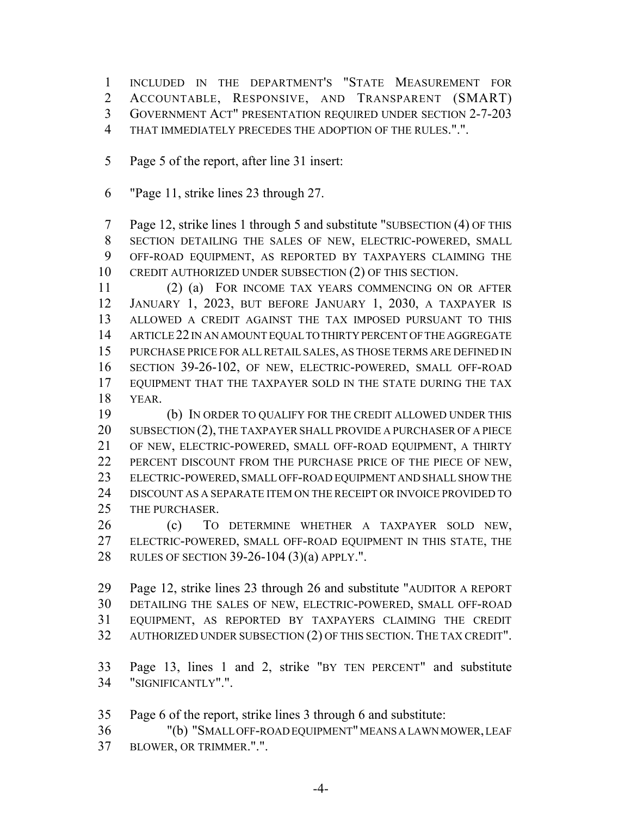INCLUDED IN THE DEPARTMENT'S "STATE MEASUREMENT FOR ACCOUNTABLE, RESPONSIVE, AND TRANSPARENT (SMART) GOVERNMENT ACT" PRESENTATION REQUIRED UNDER SECTION 2-7-203

THAT IMMEDIATELY PRECEDES THE ADOPTION OF THE RULES.".".

Page 5 of the report, after line 31 insert:

"Page 11, strike lines 23 through 27.

 Page 12, strike lines 1 through 5 and substitute "SUBSECTION (4) OF THIS SECTION DETAILING THE SALES OF NEW, ELECTRIC-POWERED, SMALL OFF-ROAD EQUIPMENT, AS REPORTED BY TAXPAYERS CLAIMING THE CREDIT AUTHORIZED UNDER SUBSECTION (2) OF THIS SECTION.

 (2) (a) FOR INCOME TAX YEARS COMMENCING ON OR AFTER JANUARY 1, 2023, BUT BEFORE JANUARY 1, 2030, A TAXPAYER IS ALLOWED A CREDIT AGAINST THE TAX IMPOSED PURSUANT TO THIS ARTICLE 22 IN AN AMOUNT EQUAL TO THIRTY PERCENT OF THE AGGREGATE PURCHASE PRICE FOR ALL RETAIL SALES, AS THOSE TERMS ARE DEFINED IN SECTION 39-26-102, OF NEW, ELECTRIC-POWERED, SMALL OFF-ROAD EQUIPMENT THAT THE TAXPAYER SOLD IN THE STATE DURING THE TAX YEAR.

 (b) IN ORDER TO QUALIFY FOR THE CREDIT ALLOWED UNDER THIS 20 SUBSECTION (2), THE TAXPAYER SHALL PROVIDE A PURCHASER OF A PIECE OF NEW, ELECTRIC-POWERED, SMALL OFF-ROAD EQUIPMENT, A THIRTY PERCENT DISCOUNT FROM THE PURCHASE PRICE OF THE PIECE OF NEW, ELECTRIC-POWERED, SMALL OFF-ROAD EQUIPMENT AND SHALL SHOW THE 24 DISCOUNT AS A SEPARATE ITEM ON THE RECEIPT OR INVOICE PROVIDED TO THE PURCHASER.

 (c) TO DETERMINE WHETHER A TAXPAYER SOLD NEW, ELECTRIC-POWERED, SMALL OFF-ROAD EQUIPMENT IN THIS STATE, THE RULES OF SECTION 39-26-104 (3)(a) APPLY.".

 Page 12, strike lines 23 through 26 and substitute "AUDITOR A REPORT DETAILING THE SALES OF NEW, ELECTRIC-POWERED, SMALL OFF-ROAD EQUIPMENT, AS REPORTED BY TAXPAYERS CLAIMING THE CREDIT AUTHORIZED UNDER SUBSECTION (2) OF THIS SECTION. THE TAX CREDIT".

 Page 13, lines 1 and 2, strike "BY TEN PERCENT" and substitute "SIGNIFICANTLY".".

Page 6 of the report, strike lines 3 through 6 and substitute:

 "(b) "SMALL OFF-ROAD EQUIPMENT" MEANS A LAWN MOWER, LEAF BLOWER, OR TRIMMER.".".